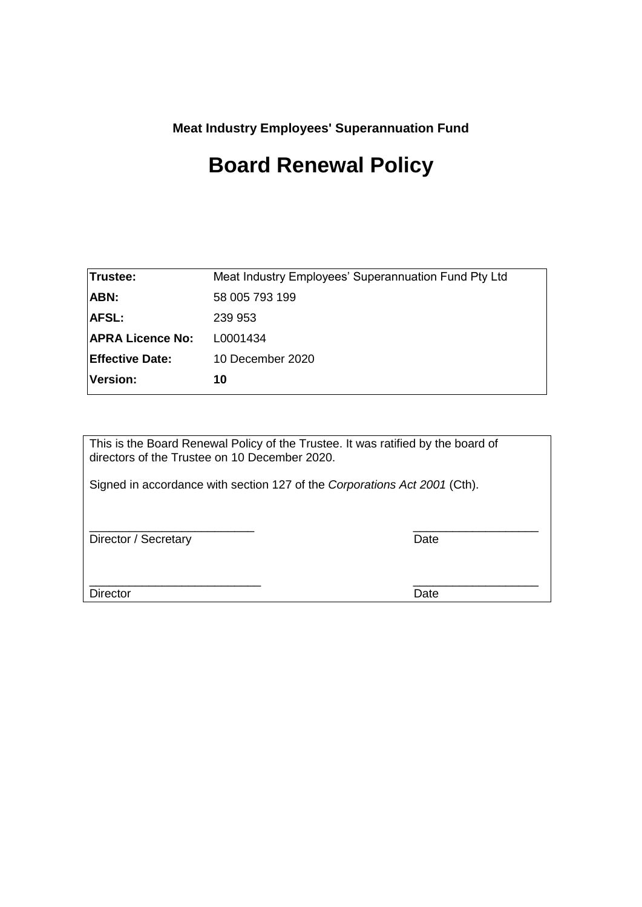**Meat Industry Employees' Superannuation Fund**

# **Board Renewal Policy**

| Trustee:                | Meat Industry Employees' Superannuation Fund Pty Ltd |
|-------------------------|------------------------------------------------------|
| ABN:                    | 58 005 793 199                                       |
| <b>AFSL:</b>            | 239 953                                              |
| <b>APRA Licence No:</b> | L0001434                                             |
| <b>Effective Date:</b>  | 10 December 2020                                     |
| Version:                | 10                                                   |
|                         |                                                      |

This is the Board Renewal Policy of the Trustee. It was ratified by the board of directors of the Trustee on 10 December 2020.

Signed in accordance with section 127 of the *Corporations Act 2001* (Cth).

\_\_\_\_\_\_\_\_\_\_\_\_\_\_\_\_\_\_\_\_\_\_\_\_\_ \_\_\_\_\_\_\_\_\_\_\_\_\_\_\_\_\_\_\_ Director / Secretary Date

Director Date **Director** Date

\_\_\_\_\_\_\_\_\_\_\_\_\_\_\_\_\_\_\_\_\_\_\_\_\_\_ \_\_\_\_\_\_\_\_\_\_\_\_\_\_\_\_\_\_\_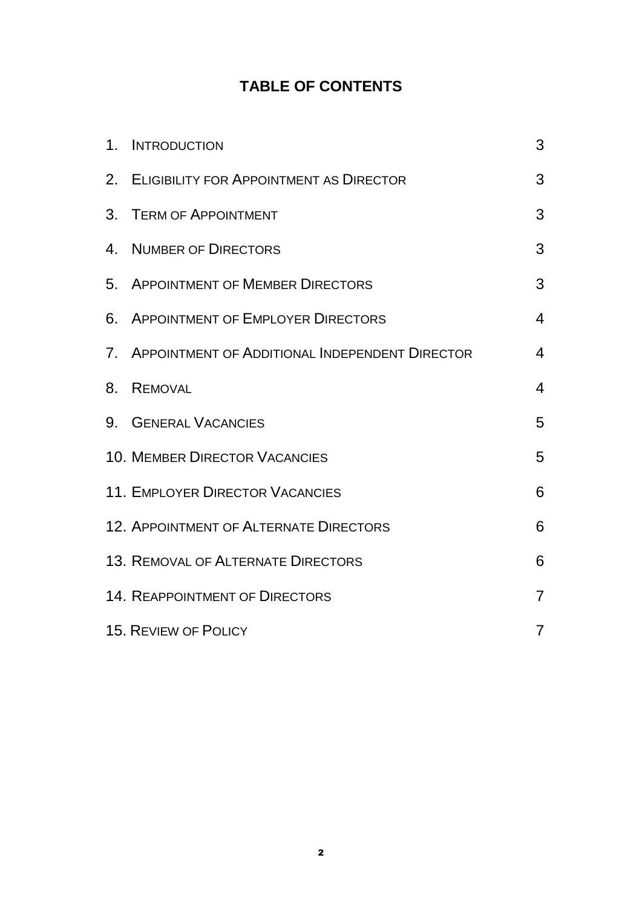# **TABLE OF CONTENTS**

|    | 1. INTRODUCTION                                   | 3              |
|----|---------------------------------------------------|----------------|
|    | 2. ELIGIBILITY FOR APPOINTMENT AS DIRECTOR        | 3              |
|    | 3. TERM OF APPOINTMENT                            | 3              |
| 4. | <b>NUMBER OF DIRECTORS</b>                        | 3              |
|    | 5. APPOINTMENT OF MEMBER DIRECTORS                | 3              |
|    | 6. APPOINTMENT OF EMPLOYER DIRECTORS              | 4              |
|    | 7. APPOINTMENT OF ADDITIONAL INDEPENDENT DIRECTOR | $\overline{4}$ |
| 8. | <b>REMOVAL</b>                                    | 4              |
|    | 9. GENERAL VACANCIES                              | 5              |
|    | <b>10. MEMBER DIRECTOR VACANCIES</b>              | 5              |
|    | <b>11. EMPLOYER DIRECTOR VACANCIES</b>            | 6              |
|    | <b>12. APPOINTMENT OF ALTERNATE DIRECTORS</b>     | 6              |
|    | <b>13. REMOVAL OF ALTERNATE DIRECTORS</b>         | 6              |
|    | <b>14. REAPPOINTMENT OF DIRECTORS</b>             | $\overline{7}$ |
|    | <b>15. REVIEW OF POLICY</b>                       | $\overline{7}$ |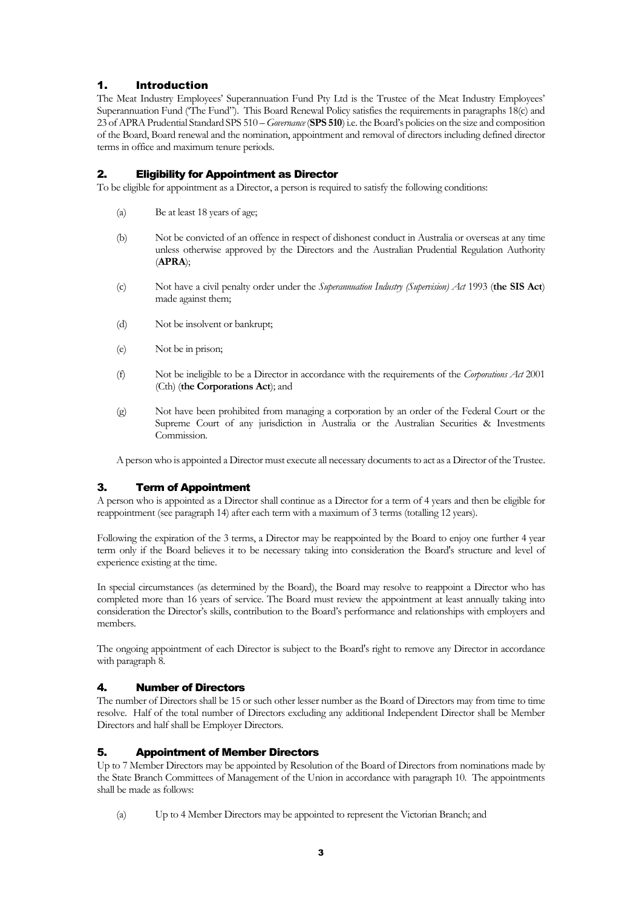# <span id="page-2-0"></span>1. Introduction

The Meat Industry Employees' Superannuation Fund Pty Ltd is the Trustee of the Meat Industry Employees' Superannuation Fund ('The Fund"). This Board Renewal Policy satisfies the requirements in paragraphs 18(c) and 23 of APRA Prudential Standard SPS 510 – *Governance* (**SPS 510**) i.e. the Board's policies on the size and composition of the Board, Board renewal and the nomination, appointment and removal of directors including defined director terms in office and maximum tenure periods.

#### <span id="page-2-1"></span>2. Eligibility for Appointment as Director

To be eligible for appointment as a Director, a person is required to satisfy the following conditions:

- (a) Be at least 18 years of age;
- (b) Not be convicted of an offence in respect of dishonest conduct in Australia or overseas at any time unless otherwise approved by the Directors and the Australian Prudential Regulation Authority (**APRA**);
- (c) Not have a civil penalty order under the *Superannuation Industry (Supervision) Act* 1993 (**the SIS Act**) made against them;
- (d) Not be insolvent or bankrupt;
- (e) Not be in prison;
- (f) Not be ineligible to be a Director in accordance with the requirements of the *Corporations Act* 2001 (Cth) (**the Corporations Act**); and
- (g) Not have been prohibited from managing a corporation by an order of the Federal Court or the Supreme Court of any jurisdiction in Australia or the Australian Securities & Investments Commission.

A person who is appointed a Director must execute all necessary documents to act as a Director of the Trustee.

# <span id="page-2-2"></span>3. Term of Appointment

A person who is appointed as a Director shall continue as a Director for a term of 4 years and then be eligible for reappointment (see paragraph 14) after each term with a maximum of 3 terms (totalling 12 years).

Following the expiration of the 3 terms, a Director may be reappointed by the Board to enjoy one further 4 year term only if the Board believes it to be necessary taking into consideration the Board's structure and level of experience existing at the time.

In special circumstances (as determined by the Board), the Board may resolve to reappoint a Director who has completed more than 16 years of service. The Board must review the appointment at least annually taking into consideration the Director's skills, contribution to the Board's performance and relationships with employers and members.

The ongoing appointment of each Director is subject to the Board's right to remove any Director in accordance with paragraph 8.

# <span id="page-2-3"></span>4. Number of Directors

The number of Directors shall be 15 or such other lesser number as the Board of Directors may from time to time resolve. Half of the total number of Directors excluding any additional Independent Director shall be Member Directors and half shall be Employer Directors.

#### <span id="page-2-4"></span>5. Appointment of Member Directors

Up to 7 Member Directors may be appointed by Resolution of the Board of Directors from nominations made by the State Branch Committees of Management of the Union in accordance with paragraph 10. The appointments shall be made as follows:

(a) Up to 4 Member Directors may be appointed to represent the Victorian Branch; and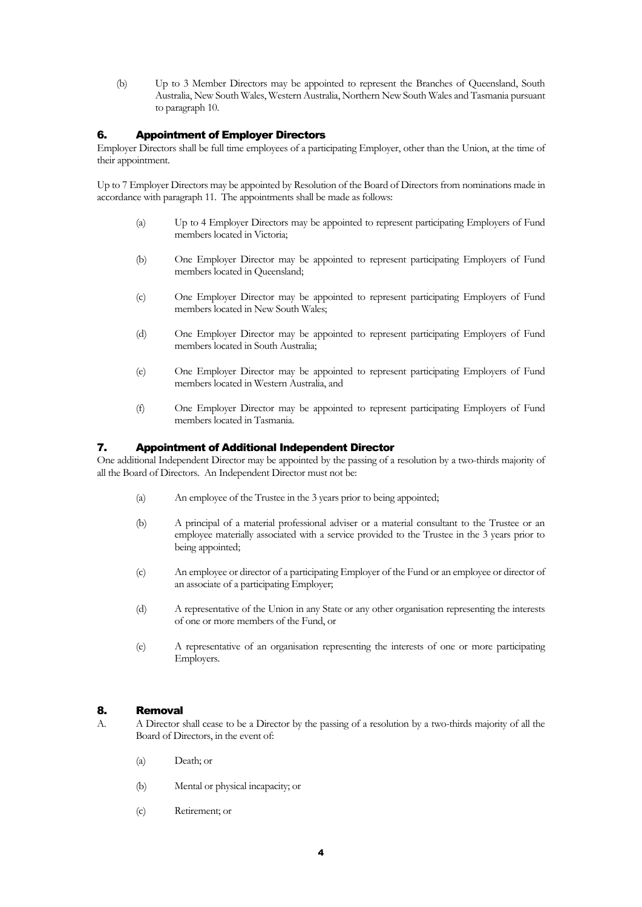(b) Up to 3 Member Directors may be appointed to represent the Branches of Queensland, South Australia, New South Wales, Western Australia, Northern New South Wales and Tasmania pursuant to paragraph 10.

#### <span id="page-3-0"></span>6. Appointment of Employer Directors

Employer Directors shall be full time employees of a participating Employer, other than the Union, at the time of their appointment.

Up to 7 Employer Directors may be appointed by Resolution of the Board of Directors from nominations made in accordance with paragraph 11. The appointments shall be made as follows:

- (a) Up to 4 Employer Directors may be appointed to represent participating Employers of Fund members located in Victoria;
- (b) One Employer Director may be appointed to represent participating Employers of Fund members located in Queensland;
- (c) One Employer Director may be appointed to represent participating Employers of Fund members located in New South Wales;
- (d) One Employer Director may be appointed to represent participating Employers of Fund members located in South Australia;
- (e) One Employer Director may be appointed to represent participating Employers of Fund members located in Western Australia, and
- (f) One Employer Director may be appointed to represent participating Employers of Fund members located in Tasmania.

#### <span id="page-3-1"></span>7. Appointment of Additional Independent Director

One additional Independent Director may be appointed by the passing of a resolution by a two-thirds majority of all the Board of Directors. An Independent Director must not be:

- (a) An employee of the Trustee in the 3 years prior to being appointed;
- (b) A principal of a material professional adviser or a material consultant to the Trustee or an employee materially associated with a service provided to the Trustee in the 3 years prior to being appointed;
- (c) An employee or director of a participating Employer of the Fund or an employee or director of an associate of a participating Employer;
- (d) A representative of the Union in any State or any other organisation representing the interests of one or more members of the Fund, or
- (e) A representative of an organisation representing the interests of one or more participating Employers.

#### <span id="page-3-2"></span>8. Removal

- A. A Director shall cease to be a Director by the passing of a resolution by a two-thirds majority of all the Board of Directors, in the event of:
	- (a) Death; or
	- (b) Mental or physical incapacity; or
	- (c) Retirement; or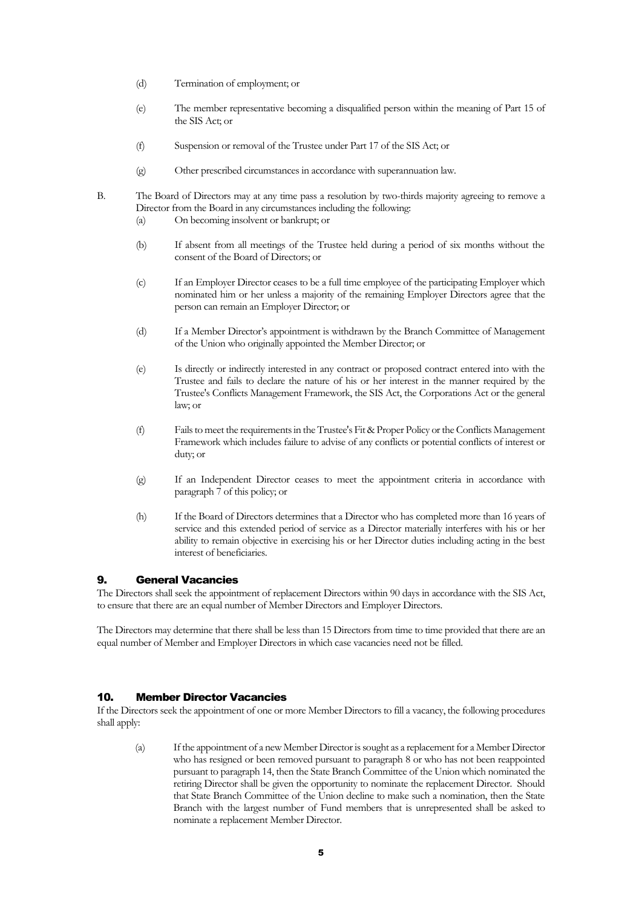- (d) Termination of employment; or
- (e) The member representative becoming a disqualified person within the meaning of Part 15 of the SIS Act; or
- (f) Suspension or removal of the Trustee under Part 17 of the SIS Act; or
- (g) Other prescribed circumstances in accordance with superannuation law.
- B. The Board of Directors may at any time pass a resolution by two-thirds majority agreeing to remove a Director from the Board in any circumstances including the following:
	- (a) On becoming insolvent or bankrupt; or
	- (b) If absent from all meetings of the Trustee held during a period of six months without the consent of the Board of Directors; or
	- (c) If an Employer Director ceases to be a full time employee of the participating Employer which nominated him or her unless a majority of the remaining Employer Directors agree that the person can remain an Employer Director; or
	- (d) If a Member Director's appointment is withdrawn by the Branch Committee of Management of the Union who originally appointed the Member Director; or
	- (e) Is directly or indirectly interested in any contract or proposed contract entered into with the Trustee and fails to declare the nature of his or her interest in the manner required by the Trustee's Conflicts Management Framework, the SIS Act, the Corporations Act or the general law; or
	- (f) Fails to meet the requirements in the Trustee's Fit & Proper Policy or the Conflicts Management Framework which includes failure to advise of any conflicts or potential conflicts of interest or duty; or
	- (g) If an Independent Director ceases to meet the appointment criteria in accordance with paragraph 7 of this policy; or
	- (h) If the Board of Directors determines that a Director who has completed more than 16 years of service and this extended period of service as a Director materially interferes with his or her ability to remain objective in exercising his or her Director duties including acting in the best interest of beneficiaries.

#### <span id="page-4-0"></span>9. General Vacancies

The Directors shall seek the appointment of replacement Directors within 90 days in accordance with the SIS Act, to ensure that there are an equal number of Member Directors and Employer Directors.

The Directors may determine that there shall be less than 15 Directors from time to time provided that there are an equal number of Member and Employer Directors in which case vacancies need not be filled.

#### <span id="page-4-1"></span>10. Member Director Vacancies

If the Directors seek the appointment of one or more Member Directors to fill a vacancy, the following procedures shall apply:

(a) If the appointment of a new Member Director is sought as a replacement for a Member Director who has resigned or been removed pursuant to paragraph 8 or who has not been reappointed pursuant to paragraph 14, then the State Branch Committee of the Union which nominated the retiring Director shall be given the opportunity to nominate the replacement Director. Should that State Branch Committee of the Union decline to make such a nomination, then the State Branch with the largest number of Fund members that is unrepresented shall be asked to nominate a replacement Member Director.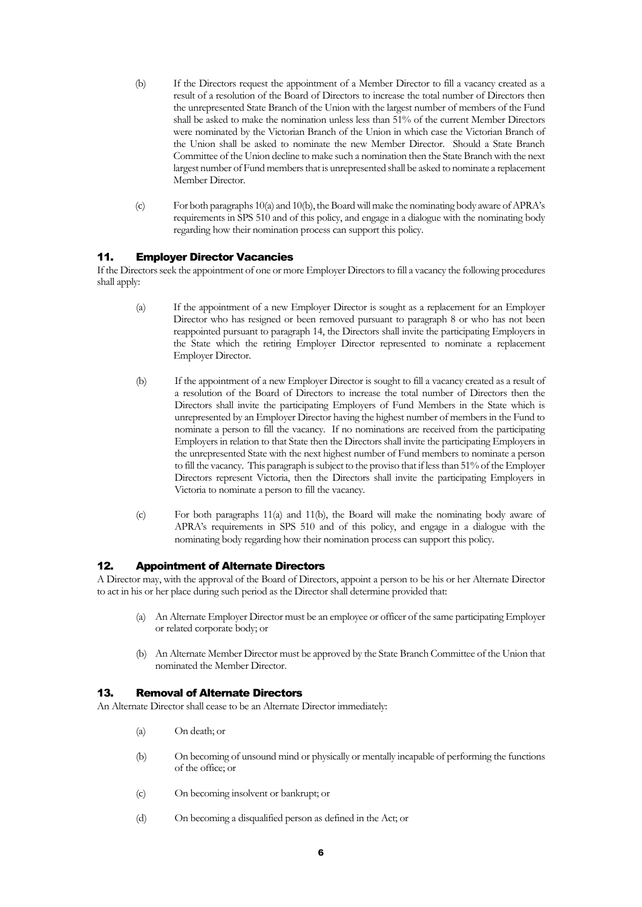- (b) If the Directors request the appointment of a Member Director to fill a vacancy created as a result of a resolution of the Board of Directors to increase the total number of Directors then the unrepresented State Branch of the Union with the largest number of members of the Fund shall be asked to make the nomination unless less than 51% of the current Member Directors were nominated by the Victorian Branch of the Union in which case the Victorian Branch of the Union shall be asked to nominate the new Member Director. Should a State Branch Committee of the Union decline to make such a nomination then the State Branch with the next largest number of Fund members that is unrepresented shall be asked to nominate a replacement Member Director.
- (c) For both paragraphs 10(a) and 10(b), the Board willmake the nominating body aware of APRA's requirements in SPS 510 and of this policy, and engage in a dialogue with the nominating body regarding how their nomination process can support this policy.

# <span id="page-5-0"></span>11. Employer Director Vacancies

If the Directors seek the appointment of one or more Employer Directors to fill a vacancy the following procedures shall apply:

- (a) If the appointment of a new Employer Director is sought as a replacement for an Employer Director who has resigned or been removed pursuant to paragraph 8 or who has not been reappointed pursuant to paragraph 14, the Directors shall invite the participating Employers in the State which the retiring Employer Director represented to nominate a replacement Employer Director.
- (b) If the appointment of a new Employer Director is sought to fill a vacancy created as a result of a resolution of the Board of Directors to increase the total number of Directors then the Directors shall invite the participating Employers of Fund Members in the State which is unrepresented by an Employer Director having the highest number of members in the Fund to nominate a person to fill the vacancy. If no nominations are received from the participating Employers in relation to that State then the Directors shall invite the participating Employers in the unrepresented State with the next highest number of Fund members to nominate a person to fill the vacancy. This paragraph is subject to the proviso that if less than 51% of the Employer Directors represent Victoria, then the Directors shall invite the participating Employers in Victoria to nominate a person to fill the vacancy.
- (c) For both paragraphs 11(a) and 11(b), the Board will make the nominating body aware of APRA's requirements in SPS 510 and of this policy, and engage in a dialogue with the nominating body regarding how their nomination process can support this policy.

#### <span id="page-5-1"></span>12. Appointment of Alternate Directors

A Director may, with the approval of the Board of Directors, appoint a person to be his or her Alternate Director to act in his or her place during such period as the Director shall determine provided that:

- (a) An Alternate Employer Director must be an employee or officer of the same participating Employer or related corporate body; or
- (b) An Alternate Member Director must be approved by the State Branch Committee of the Union that nominated the Member Director.

# <span id="page-5-2"></span>13. Removal of Alternate Directors

An Alternate Director shall cease to be an Alternate Director immediately:

- (a) On death; or
- (b) On becoming of unsound mind or physically or mentally incapable of performing the functions of the office; or
- (c) On becoming insolvent or bankrupt; or
- (d) On becoming a disqualified person as defined in the Act; or